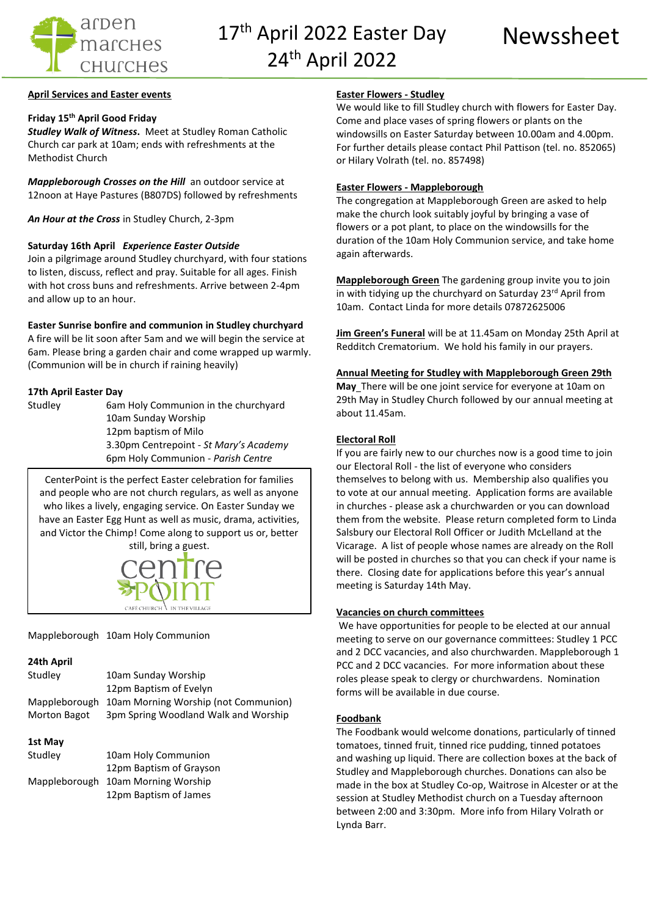

17<sup>th</sup> April 2022 Easter Day Mewssheet 24th April 2022

# **April Services and Easter events**

# **Friday 15th April Good Friday**

*Studley Walk of Witness***.** Meet at Studley Roman Catholic Church car park at 10am; ends with refreshments at the Methodist Church

*Mappleborough Crosses on the Hill* an outdoor service at 12noon at Haye Pastures (B807DS) followed by refreshments

*An Hour at the Cross* in Studley Church, 2-3pm

### **Saturday 16th April** *Experience Easter Outside*

Join a pilgrimage around Studley churchyard, with four stations to listen, discuss, reflect and pray. Suitable for all ages. Finish with hot cross buns and refreshments. Arrive between 2-4pm and allow up to an hour.

# **Easter Sunrise bonfire and communion in Studley churchyard**

A fire will be lit soon after 5am and we will begin the service at 6am. Please bring a garden chair and come wrapped up warmly. (Communion will be in church if raining heavily)

### **17th April Easter Day**

Studley 6am Holy Communion in the churchyard 10am Sunday Worship 12pm baptism of Milo 3.30pm Centrepoint - *St Mary's Academy* 6pm Holy Communion - *Parish Centre*

CenterPoint is the perfect Easter celebration for families and people who are not church regulars, as well as anyone who likes a lively, engaging service. On Easter Sunday we have an Easter Egg Hunt as well as music, drama, activities, and Victor the Chimp! Come along to support us or, better still, bring a guest.



Mappleborough 10am Holy Communion

### **24th April**

| Studley       | 10am Sunday Worship                  |  |
|---------------|--------------------------------------|--|
|               | 12pm Baptism of Evelyn               |  |
| Mappleborough | 10am Morning Worship (not Communion) |  |
| Morton Bagot  | 3pm Spring Woodland Walk and Worship |  |
|               |                                      |  |
| 1st May       |                                      |  |

| Studley | 10am Holy Communion                |  |
|---------|------------------------------------|--|
|         | 12pm Baptism of Grayson            |  |
|         | Mappleborough 10am Morning Worship |  |
|         | 12pm Baptism of James              |  |

## **Easter Flowers - Studley**

We would like to fill Studley church with flowers for Easter Day. Come and place vases of spring flowers or plants on the windowsills on Easter Saturday between 10.00am and 4.00pm. For further details please contact Phil Pattison (tel. no. 852065) or Hilary Volrath (tel. no. 857498)

## **Easter Flowers - Mappleborough**

The congregation at Mappleborough Green are asked to help make the church look suitably joyful by bringing a vase of flowers or a pot plant, to place on the windowsills for the duration of the 10am Holy Communion service, and take home again afterwards.

**Mappleborough Green** The gardening group invite you to join in with tidying up the churchyard on Saturday 23rd April from 10am. Contact Linda for more details 07872625006

**Jim Green's Funeral** will be at 11.45am on Monday 25th April at Redditch Crematorium. We hold his family in our prayers.

### **Annual Meeting for Studley with Mappleborough Green 29th**

**May** There will be one joint service for everyone at 10am on 29th May in Studley Church followed by our annual meeting at about 11.45am.

#### **Electoral Roll**

If you are fairly new to our churches now is a good time to join our Electoral Roll - the list of everyone who considers themselves to belong with us. Membership also qualifies you to vote at our annual meeting. Application forms are available in churches - please ask a churchwarden or you can download them from the website. Please return completed form to Linda Salsbury our Electoral Roll Officer or [Judith McLelland](mailto:parish@ardenmarches.co.uk) at the Vicarage. A list of people whose names are already on the Roll will be posted in churches so that you can check if your name is there. Closing date for applications before this year's annual meeting is Saturday 14th May.

#### **Vacancies on church committees**

We have opportunities for people to be elected at our annual meeting to serve on our governance committees: Studley 1 PCC and 2 DCC vacancies, and also churchwarden. Mappleborough 1 PCC and 2 DCC vacancies. For more information about these roles please speak to clergy or churchwardens. Nomination forms will be available in due course.

### **Foodbank**

The Foodbank would welcome donations, particularly of tinned tomatoes, tinned fruit, tinned rice pudding, tinned potatoes and washing up liquid. There are collection boxes at the back of Studley and Mappleborough churches. Donations can also be made in the box at Studley Co-op, Waitrose in Alcester or at the session at Studley Methodist church on a Tuesday afternoon between 2:00 and 3:30pm. More info from Hilary Volrath or Lynda Barr.